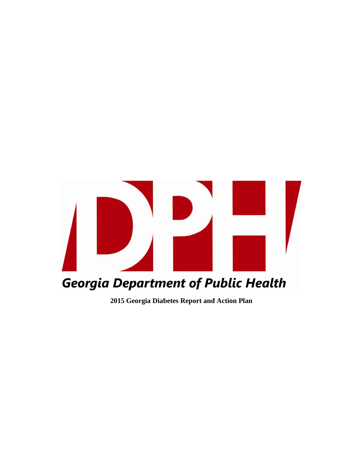

**2015 Georgia Diabetes Report and Action Plan**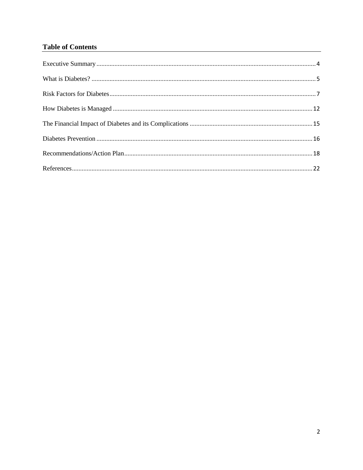### **Table of Contents**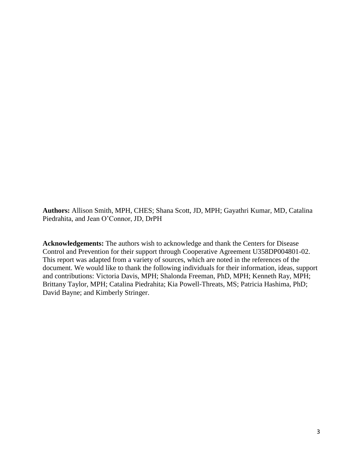**Authors:** Allison Smith, MPH, CHES; Shana Scott, JD, MPH; Gayathri Kumar, MD, Catalina Piedrahita, and Jean O'Connor, JD, DrPH

**Acknowledgements:** The authors wish to acknowledge and thank the Centers for Disease Control and Prevention for their support through Cooperative Agreement U358DP004801-02. This report was adapted from a variety of sources, which are noted in the references of the document. We would like to thank the following individuals for their information, ideas, support and contributions: Victoria Davis, MPH; Shalonda Freeman, PhD, MPH; Kenneth Ray, MPH; Brittany Taylor, MPH; Catalina Piedrahita; Kia Powell-Threats, MS; Patricia Hashima, PhD; David Bayne; and Kimberly Stringer.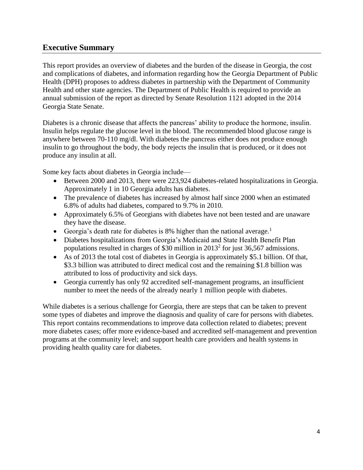## <span id="page-3-0"></span>**Executive Summary**

This report provides an overview of diabetes and the burden of the disease in Georgia, the cost and complications of diabetes, and information regarding how the Georgia Department of Public Health (DPH) proposes to address diabetes in partnership with the Department of Community Health and other state agencies. The Department of Public Health is required to provide an annual submission of the report as directed by Senate Resolution 1121 adopted in the 2014 Georgia State Senate.

Diabetes is a chronic disease that affects the pancreas' ability to produce the hormone, insulin. Insulin helps regulate the glucose level in the blood. The recommended blood glucose range is anywhere between 70-110 mg/dl. With diabetes the pancreas either does not produce enough insulin to go throughout the body, the body rejects the insulin that is produced, or it does not produce any insulin at all.

Some key facts about diabetes in Georgia include—

- Between 2000 and 2013, there were 223,924 diabetes-related hospitalizations in Georgia. Approximately 1 in 10 Georgia adults has diabetes.
- The prevalence of diabetes has increased by almost half since 2000 when an estimated 6.8% of adults had diabetes, compared to 9.7% in 2010.
- Approximately 6.5% of Georgians with diabetes have not been tested and are unaware they have the disease.
- Georgia's death rate for diabetes is 8% higher than the national average.<sup>1</sup>
- Diabetes hospitalizations from Georgia's Medicaid and State Health Benefit Plan populations resulted in charges of \$30 million in  $2013^2$  for just 36,567 admissions.
- As of 2013 the total cost of diabetes in Georgia is approximately \$5.1 billion. Of that, \$3.3 billion was attributed to direct medical cost and the remaining \$1.8 billion was attributed to loss of productivity and sick days.
- Georgia currently has only 92 accredited self-management programs, an insufficient number to meet the needs of the already nearly 1 million people with diabetes.

While diabetes is a serious challenge for Georgia, there are steps that can be taken to prevent some types of diabetes and improve the diagnosis and quality of care for persons with diabetes. This report contains recommendations to improve data collection related to diabetes; prevent more diabetes cases; offer more evidence-based and accredited self-management and prevention programs at the community level; and support health care providers and health systems in providing health quality care for diabetes.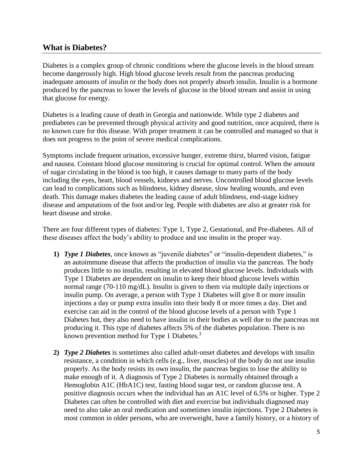### <span id="page-4-0"></span>**What is Diabetes?**

Diabetes is a complex group of chronic conditions where the glucose levels in the blood stream become dangerously high. High blood glucose levels result from the pancreas producing inadequate amounts of insulin or the body does not properly absorb insulin. Insulin is a hormone produced by the pancreas to lower the levels of glucose in the blood stream and assist in using that glucose for energy.

Diabetes is a leading cause of death in Georgia and nationwide. While type 2 diabetes and prediabetes can be prevented through physical activity and good nutrition, once acquired, there is no known cure for this disease. With proper treatment it can be controlled and managed so that it does not progress to the point of severe medical complications.

Symptoms include frequent urination, excessive hunger, extreme thirst, blurred vision, fatigue and nausea. Constant blood glucose monitoring is crucial for optimal control. When the amount of sugar circulating in the blood is too high, it causes damage to many parts of the body including the eyes, heart, blood vessels, kidneys and nerves. Uncontrolled blood glucose levels can lead to complications such as blindness, kidney disease, slow healing wounds, and even death. This damage makes diabetes the leading cause of adult blindness, end‐stage kidney disease and amputations of the foot and/or leg. People with diabetes are also at greater risk for heart disease and stroke.

There are four different types of diabetes: Type 1, Type 2, Gestational, and Pre-diabetes. All of these diseases affect the body's ability to produce and use insulin in the proper way.

- **1)** *Type 1 Diabetes*, once known as "juvenile diabetes" or "insulin-dependent diabetes," is an autoimmune disease that affects the production of insulin via the pancreas. The body produces little to no insulin, resulting in elevated blood glucose levels. Individuals with Type 1 Diabetes are dependent on insulin to keep their blood glucose levels within normal range (70-110 mg/dL). Insulin is given to them via multiple daily injections or insulin pump. On average, a person with Type 1 Diabetes will give 8 or more insulin injections a day or pump extra insulin into their body 8 or more times a day. Diet and exercise can aid in the control of the blood glucose levels of a person with Type 1 Diabetes but, they also need to have insulin in their bodies as well due to the pancreas not producing it. This type of diabetes affects 5% of the diabetes population. There is no known prevention method for Type 1 Diabetes.<sup>3</sup>
- **2)** *Type 2 Diabetes* is sometimes also called adult‐onset diabetes and develops with insulin resistance, a condition in which cells (e.g., liver, muscles) of the body do not use insulin properly. As the body resists its own insulin, the pancreas begins to lose the ability to make enough of it. A diagnosis of Type 2 Diabetes is normally obtained through a Hemoglobin A1C (HbA1C) test, fasting blood sugar test, or random glucose test. A positive diagnosis occurs when the individual has an A1C level of 6.5% or higher. Type 2 Diabetes can often be controlled with diet and exercise but individuals diagnosed may need to also take an oral medication and sometimes insulin injections. Type 2 Diabetes is most common in older persons, who are overweight, have a family history, or a history of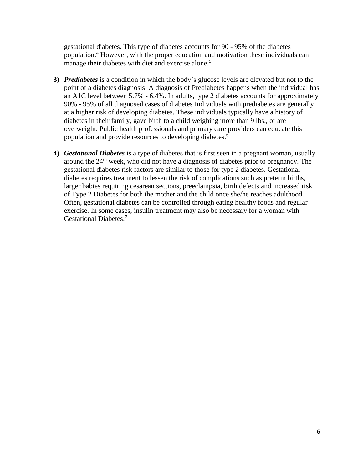gestational diabetes. This type of diabetes accounts for 90 - 95% of the diabetes population.<sup>4</sup> However, with the proper education and motivation these individuals can manage their diabetes with diet and exercise alone.<sup>5</sup>

- **3)** *Prediabetes* is a condition in which the body's glucose levels are elevated but not to the point of a diabetes diagnosis. A diagnosis of Prediabetes happens when the individual has an A1C level between 5.7% - 6.4%. In adults, type 2 diabetes accounts for approximately 90% - 95% of all diagnosed cases of diabetes Individuals with prediabetes are generally at a higher risk of developing diabetes. These individuals typically have a history of diabetes in their family, gave birth to a child weighing more than 9 lbs., or are overweight. Public health professionals and primary care providers can educate this population and provide resources to developing diabetes. 6
- **4)** *Gestational Diabetes* is a type of diabetes that is first seen in a pregnant woman, usually around the 24th week, who did not have a diagnosis of diabetes prior to pregnancy. The gestational diabetes risk factors are similar to those for type 2 diabetes. Gestational diabetes requires treatment to lessen the risk of complications such as preterm births, larger babies requiring cesarean sections, preeclampsia, birth defects and increased risk of Type 2 Diabetes for both the mother and the child once she/he reaches adulthood. Often, gestational diabetes can be controlled through eating healthy foods and regular exercise. In some cases, insulin treatment may also be necessary for a woman with Gestational Diabetes.<sup>7</sup>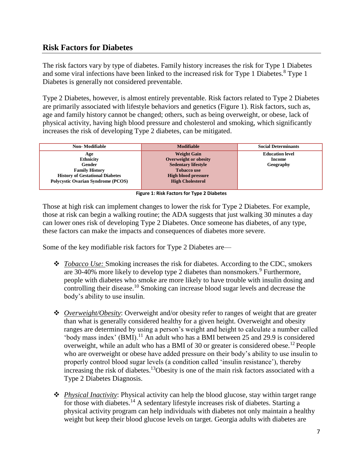# <span id="page-6-0"></span>**Risk Factors for Diabetes**

The risk factors vary by type of diabetes. Family history increases the risk for Type 1 Diabetes and some viral infections have been linked to the increased risk for Type 1 Diabetes.<sup>8</sup> Type 1 Diabetes is generally not considered preventable.

Type 2 Diabetes, however, is almost entirely preventable. Risk factors related to Type 2 Diabetes are primarily associated with lifestyle behaviors and genetics (Figure 1). Risk factors, such as, age and family history cannot be changed; others, such as being overweight, or obese, lack of physical activity, having high blood pressure and cholesterol and smoking, which significantly increases the risk of developing Type 2 diabetes, can be mitigated.

| Non-Modifiable                            | <b>Modifiable</b>            | <b>Social Determinants</b> |
|-------------------------------------------|------------------------------|----------------------------|
| Age                                       | <b>Weight Gain</b>           | <b>Education level</b>     |
| <b>Ethnicity</b>                          | <b>Overweight or obesity</b> | Income                     |
| Gender                                    | <b>Sedentary lifestyle</b>   | Geography                  |
| <b>Family History</b>                     | <b>Tobacco use</b>           |                            |
| <b>History of Gestational Diabetes</b>    | <b>High blood pressure</b>   |                            |
| <b>Polycystic Ovarian Syndrome (PCOS)</b> | <b>High Cholesterol</b>      |                            |
|                                           |                              |                            |

**Figure 1: Risk Factors for Type 2 Diabetes**

Those at high risk can implement changes to lower the risk for Type 2 Diabetes. For example, those at risk can begin a walking routine; the ADA suggests that just walking 30 minutes a day can lower ones risk of developing Type 2 Diabetes. Once someone has diabetes, of any type, these factors can make the impacts and consequences of diabetes more severe.

Some of the key modifiable risk factors for Type 2 Diabetes are—

- *Tobacco Use:* Smoking increases the risk for diabetes. According to the CDC, smokers are 30-40% more likely to develop type 2 diabetes than nonsmokers.  $9^9$  Furthermore, people with diabetes who smoke are more likely to have trouble with insulin dosing and controlling their disease.<sup>10</sup> Smoking can increase blood sugar levels and decrease the body's ability to use insulin.
- *Overweight/Obesity*: Overweight and/or obesity refer to ranges of weight that are greater than what is generally considered healthy for a given height. Overweight and obesity ranges are determined by using a person's weight and height to calculate a number called 'body mass index' (BMI).<sup>11</sup> An adult who has a BMI between 25 and 29.9 is considered overweight, while an adult who has a BMI of 30 or greater is considered obese.<sup>12</sup> People who are overweight or obese have added pressure on their body's ability to use insulin to properly control blood sugar levels (a condition called 'insulin resistance'), thereby increasing the risk of diabetes.<sup>13</sup>Obesity is one of the main risk factors associated with a Type 2 Diabetes Diagnosis.
- *Physical Inactivity*: Physical activity can help the blood glucose, stay within target range for those with diabetes.<sup>14</sup> A sedentary lifestyle increases risk of diabetes. Starting a physical activity program can help individuals with diabetes not only maintain a healthy weight but keep their blood glucose levels on target. Georgia adults with diabetes are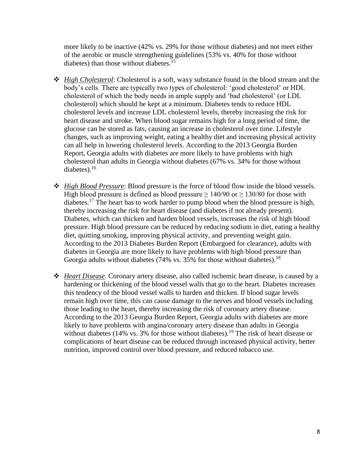more likely to be inactive (42% vs. 29% for those without diabetes) and not meet either of the aerobic or muscle strengthening guidelines (53% vs. 40% for those without diabetes) than those without diabetes. 15

- *High Cholesterol*: Cholesterol is a soft, waxy substance found in the blood stream and the body's cells. There are typically two types of cholesterol: 'good cholesterol' or HDL cholesterol of which the body needs in ample supply and 'bad cholesterol' (or LDL cholesterol) which should be kept at a minimum. Diabetes tends to reduce HDL cholesterol levels and increase LDL cholesterol levels, thereby increasing the risk for heart disease and stroke. When blood sugar remains high for a long period of time, the glucose can be stored as fats, causing an increase in cholesterol over time. Lifestyle changes, such as improving weight, eating a healthy diet and increasing physical activity can all help in lowering cholesterol levels. According to the 2013 Georgia Burden Report, Georgia adults with diabetes are more likely to have problems with high cholesterol than adults in Georgia without diabetes (67% vs. 34% for those without diabetes). $16$
- *High Blood Pressure*: Blood pressure is the force of blood flow inside the blood vessels. High blood pressure is defined as blood pressure  $\geq 140/90$  or  $\geq 130/80$  for those with diabetes.<sup>17</sup> The heart has to work harder to pump blood when the blood pressure is high, thereby increasing the risk for heart disease (and diabetes if not already present). Diabetes, which can thicken and harden blood vessels, increases the risk of high blood pressure. High blood pressure can be reduced by reducing sodium in diet, eating a healthy diet, quitting smoking, improving physical activity, and preventing weight gain. According to the 2013 Diabetes Burden Report (Embargoed for clearance), adults with diabetes in Georgia are more likely to have problems with high blood pressure than Georgia adults without diabetes  $(74\%$  vs. 35% for those without diabetes).<sup>18</sup>
- *Heart Disease*. Coronary artery disease, also called ischemic heart disease, is caused by a hardening or thickening of the blood vessel walls that go to the heart. Diabetes increases this tendency of the blood vessel walls to harden and thicken. If blood sugar levels remain high over time, this can cause damage to the nerves and blood vessels including those leading to the heart, thereby increasing the risk of coronary artery disease. According to the 2013 Georgia Burden Report, Georgia adults with diabetes are more likely to have problems with angina/coronary artery disease than adults in Georgia without diabetes (14% vs. 3% for those without diabetes).<sup>19</sup> The risk of heart disease or complications of heart disease can be reduced through increased physical activity, better nutrition, improved control over blood pressure, and reduced tobacco use.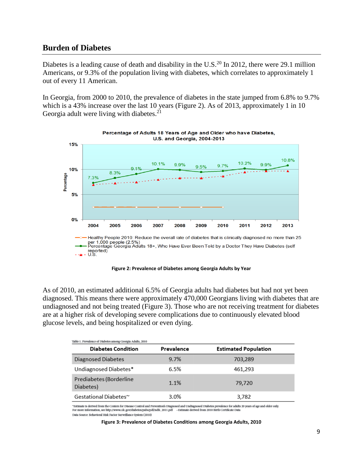### **Burden of Diabetes**

Diabetes is a leading cause of death and disability in the U.S.<sup>20</sup> In 2012, there were 29.1 million Americans, or 9.3% of the population living with diabetes, which correlates to approximately 1 out of every 11 American.

In Georgia, from 2000 to 2010, the prevalence of diabetes in the state jumped from 6.8% to 9.7% which is a 43% increase over the last 10 years (Figure 2). As of 2013, approximately 1 in 10 Georgia adult were living with diabetes. $21$ 



**Figure 2: Prevalence of Diabetes among Georgia Adults by Year**

As of 2010, an estimated additional 6.5% of Georgia adults had diabetes but had not yet been diagnosed. This means there were approximately 470,000 Georgians living with diabetes that are undiagnosed and not being treated (Figure 3). Those who are not receiving treatment for diabetes are at a higher risk of developing severe complications due to continuously elevated blood glucose levels, and being hospitalized or even dying.

| 'Table 1. Prevalence of Diabetes among Georgia Adults, 2010 |            |                             |  |  |
|-------------------------------------------------------------|------------|-----------------------------|--|--|
| <b>Diabetes Condition</b>                                   | Prevalence | <b>Estimated Population</b> |  |  |
| Diagnosed Diabetes                                          | 9.7%       | 703,289                     |  |  |
| Undiagnosed Diabetes*                                       | 6.5%       | 461,293                     |  |  |
| Prediabetes (Borderline<br>Diabetes)                        | $1.1\%$    | 79,720                      |  |  |
| Gestational Diabetes <sup>∼</sup>                           | 3.0%       | 3,782                       |  |  |

"Estimate is derived from the Centers for Disease Control and Prevention's Diagnosed and Undiagnosed Diabetes prevalence for adults 20 years of age and older only For more information, see http://www.cdc.gov/diabetes/pubs/pdf/ndfs\_2011.pdf ~Estimate derived from 2010 Birth Certificate Data Data Source: Behavioral Risk Factor Surveillance System (2010)

**Figure 3: Prevalence of Diabetes Conditions among Georgia Adults, 2010**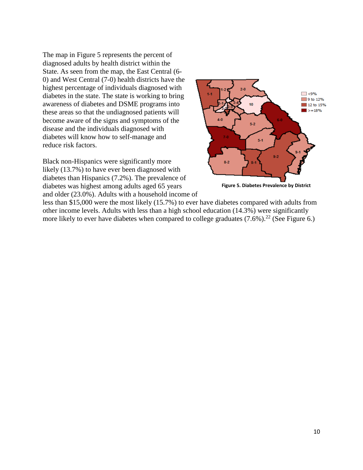The map in Figure 5 represents the percent of diagnosed adults by health district within the State. As seen from the map, the East Central (6- 0) and West Central (7-0) health districts have the highest percentage of individuals diagnosed with diabetes in the state. The state is working to bring awareness of diabetes and DSME programs into these areas so that the undiagnosed patients will become aware of the signs and symptoms of the disease and the individuals diagnosed with diabetes will know how to self-manage and reduce risk factors.

Black non-Hispanics were significantly more likely (13.7%) to have ever been diagnosed with diabetes than Hispanics (7.2%). The prevalence of diabetes was highest among adults aged 65 years and older (23.0%). Adults with a household income of



**Figure 5. Diabetes Prevalence by District**

less than \$15,000 were the most likely (15.7%) to ever have diabetes compared with adults from other income levels. Adults with less than a high school education (14.3%) were significantly more likely to ever have diabetes when compared to college graduates  $(7.6\%)$ .<sup>22</sup> (See Figure 6.)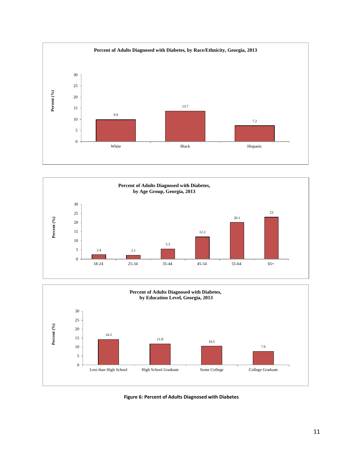





**Figure 6: Percent of Adults Diagnosed with Diabetes**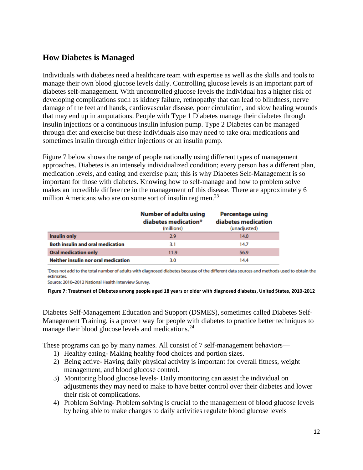## <span id="page-11-0"></span>**How Diabetes is Managed**

Individuals with diabetes need a healthcare team with expertise as well as the skills and tools to manage their own blood glucose levels daily. Controlling glucose levels is an important part of diabetes self-management. With uncontrolled glucose levels the individual has a higher risk of developing complications such as kidney failure, retinopathy that can lead to blindness, nerve damage of the feet and hands, cardiovascular disease, poor circulation, and slow healing wounds that may end up in amputations. People with Type 1 Diabetes manage their diabetes through insulin injections or a continuous insulin infusion pump. Type 2 Diabetes can be managed through diet and exercise but these individuals also may need to take oral medications and sometimes insulin through either injections or an insulin pump.

Figure 7 below shows the range of people nationally using different types of management approaches. Diabetes is an intensely individualized condition; every person has a different plan, medication levels, and eating and exercise plan; this is why Diabetes Self-Management is so important for those with diabetes. Knowing how to self-manage and how to problem solve makes an incredible difference in the management of this disease. There are approximately 6 million Americans who are on some sort of insulin regimen.<sup>23</sup>

|                                         | <b>Number of adults using</b><br>diabetes medication*<br>(millions) | <b>Percentage using</b><br>diabetes medication<br>(unadjusted) |
|-----------------------------------------|---------------------------------------------------------------------|----------------------------------------------------------------|
| <b>Insulin only</b>                     | 2.9                                                                 | 14.0                                                           |
| <b>Both insulin and oral medication</b> | 3.1                                                                 | 14.7                                                           |
| <b>Oral medication only</b>             | 11.9                                                                | 56.9                                                           |
| Neither insulin nor oral medication     | 3.0                                                                 | 14.4                                                           |

'Does not add to the total number of adults with diagnosed diabetes because of the different data sources and methods used to obtain the estimates

Source: 2010-2012 National Health Interview Survey.

Diabetes Self-Management Education and Support (DSMES), sometimes called Diabetes Self-Management Training, is a proven way for people with diabetes to practice better techniques to manage their blood glucose levels and medications.<sup>24</sup>

These programs can go by many names. All consist of 7 self-management behaviors—

- 1) Healthy eating- Making healthy food choices and portion sizes.
- 2) Being active- Having daily physical activity is important for overall fitness, weight management, and blood glucose control.
- 3) Monitoring blood glucose levels- Daily monitoring can assist the individual on adjustments they may need to make to have better control over their diabetes and lower their risk of complications.
- 4) Problem Solving- Problem solving is crucial to the management of blood glucose levels by being able to make changes to daily activities regulate blood glucose levels

**Figure 7: Treatment of Diabetes among people aged 18 years or older with diagnosed diabetes, United States, 2010-2012**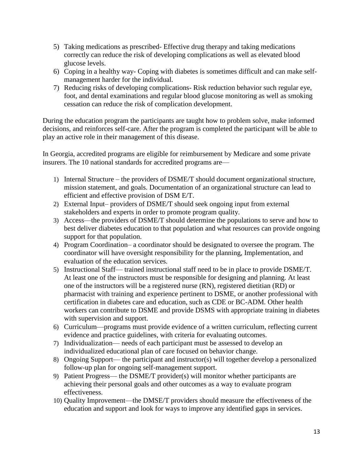- 5) Taking medications as prescribed- Effective drug therapy and taking medications correctly can reduce the risk of developing complications as well as elevated blood glucose levels.
- 6) Coping in a healthy way- Coping with diabetes is sometimes difficult and can make selfmanagement harder for the individual.
- 7) Reducing risks of developing complications- Risk reduction behavior such regular eye, foot, and dental examinations and regular blood glucose monitoring as well as smoking cessation can reduce the risk of complication development.

During the education program the participants are taught how to problem solve, make informed decisions, and reinforces self-care. After the program is completed the participant will be able to play an active role in their management of this disease.

In Georgia, accredited programs are eligible for reimbursement by Medicare and some private insurers. The 10 national standards for accredited programs are—

- 1) Internal Structure the providers of DSME/T should document organizational structure, mission statement, and goals. Documentation of an organizational structure can lead to efficient and effective provision of DSM E/T.
- 2) External Input– providers of DSME/T should seek ongoing input from external stakeholders and experts in order to promote program quality.
- 3) Access—the providers of DSME/T should determine the populations to serve and how to best deliver diabetes education to that population and what resources can provide ongoing support for that population.
- 4) Program Coordination– a coordinator should be designated to oversee the program. The coordinator will have oversight responsibility for the planning, Implementation, and evaluation of the education services.
- 5) Instructional Staff— trained instructional staff need to be in place to provide DSME/T. At least one of the instructors must be responsible for designing and planning. At least one of the instructors will be a registered nurse (RN), registered dietitian (RD) or pharmacist with training and experience pertinent to DSME, or another professional with certification in diabetes care and education, such as CDE or BC-ADM. Other health workers can contribute to DSME and provide DSMS with appropriate training in diabetes with supervision and support.
- 6) Curriculum—programs must provide evidence of a written curriculum, reflecting current evidence and practice guidelines, with criteria for evaluating outcomes.
- 7) Individualization— needs of each participant must be assessed to develop an individualized educational plan of care focused on behavior change.
- 8) Ongoing Support— the participant and instructor(s) will together develop a personalized follow-up plan for ongoing self-management support.
- 9) Patient Progress— the DSME/T provider(s) will monitor whether participants are achieving their personal goals and other outcomes as a way to evaluate program effectiveness.
- 10) Quality Improvement—the DMSE/T providers should measure the effectiveness of the education and support and look for ways to improve any identified gaps in services.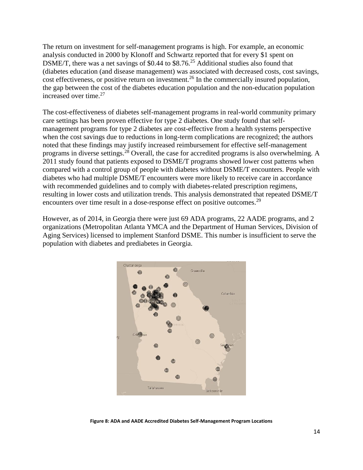The return on investment for self-management programs is high. For example, an economic analysis conducted in 2000 by Klonoff and Schwartz reported that for every \$1 spent on DSME/T, there was a net savings of \$0.44 to \$8.76<sup>25</sup> Additional studies also found that (diabetes education (and disease management) was associated with decreased costs, cost savings, cost effectiveness, or positive return on investment.<sup>26</sup> In the commercially insured population, the gap between the cost of the diabetes education population and the non-education population increased over time. 27

The cost-effectiveness of diabetes self-management programs in real-world community primary care settings has been proven effective for type 2 diabetes. One study found that selfmanagement programs for type 2 diabetes are cost-effective from a health systems perspective when the cost savings due to reductions in long-term complications are recognized; the authors noted that these findings may justify increased reimbursement for effective self-management programs in diverse settings.<sup>28</sup> Overall, the case for accredited programs is also overwhelming. A 2011 study found that patients exposed to DSME/T programs showed lower cost patterns when compared with a control group of people with diabetes without DSME/T encounters. People with diabetes who had multiple DSME/T encounters were more likely to receive care in accordance with recommended guidelines and to comply with diabetes-related prescription regimens, resulting in lower costs and utilization trends. This analysis demonstrated that repeated DSME/T encounters over time result in a dose-response effect on positive outcomes.<sup>29</sup>

However, as of 2014, in Georgia there were just 69 ADA programs, 22 AADE programs, and 2 organizations (Metropolitan Atlanta YMCA and the Department of Human Services, Division of Aging Services) licensed to implement Stanford DSME. This number is insufficient to serve the population with diabetes and prediabetes in Georgia.



**Figure 8: ADA and AADE Accredited Diabetes Self-Management Program Locations**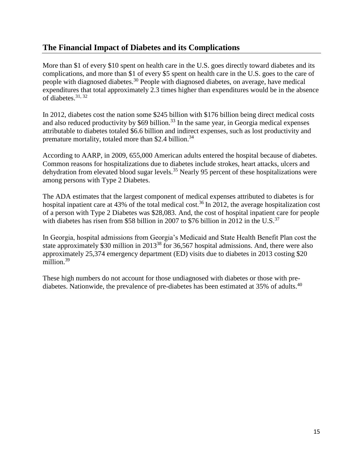# <span id="page-14-0"></span>**The Financial Impact of Diabetes and its Complications**

More than \$1 of every \$10 spent on health care in the U.S. goes directly toward diabetes and its complications, and more than \$1 of every \$5 spent on health care in the U.S. goes to the care of people with diagnosed diabetes.<sup>30</sup> People with diagnosed diabetes, on average, have medical expenditures that total approximately 2.3 times higher than expenditures would be in the absence of diabetes.31, <sup>32</sup>

In 2012, diabetes cost the nation some \$245 billion with \$176 billion being direct medical costs and also reduced productivity by  $$69$  billion.<sup>33</sup> In the same year, in Georgia medical expenses attributable to diabetes totaled \$6.6 billion and indirect expenses, such as lost productivity and premature mortality, totaled more than \$2.4 billion.<sup>34</sup>

According to AARP, in 2009, 655,000 American adults entered the hospital because of diabetes. Common reasons for hospitalizations due to diabetes include strokes, heart attacks, ulcers and dehydration from elevated blood sugar levels.<sup>35</sup> Nearly 95 percent of these hospitalizations were among persons with Type 2 Diabetes.

The ADA estimates that the largest component of medical expenses attributed to diabetes is for hospital inpatient care at 43% of the total medical cost.<sup>36</sup> In 2012, the average hospitalization cost of a person with Type 2 Diabetes was \$28,083. And, the cost of hospital inpatient care for people with diabetes has risen from \$58 billion in 2007 to \$76 billion in 2012 in the U.S.<sup>37</sup>

In Georgia, hospital admissions from Georgia's Medicaid and State Health Benefit Plan cost the state approximately \$30 million in 2013<sup>38</sup> for 36,567 hospital admissions. And, there were also approximately 25,374 emergency department (ED) visits due to diabetes in 2013 costing \$20 million. 39

These high numbers do not account for those undiagnosed with diabetes or those with prediabetes. Nationwide, the prevalence of pre-diabetes has been estimated at 35% of adults.<sup>40</sup>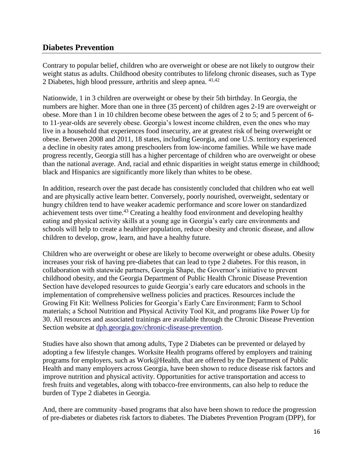## <span id="page-15-0"></span>**Diabetes Prevention**

Contrary to popular belief, children who are overweight or obese are not likely to outgrow their weight status as adults. Childhood obesity contributes to lifelong chronic diseases, such as Type 2 Diabetes, high blood pressure, arthritis and sleep apnea. 41,42

Nationwide, 1 in 3 children are overweight or obese by their 5th birthday. In Georgia, the numbers are higher. More than one in three (35 percent) of children ages 2-19 are overweight or obese. More than 1 in 10 children become obese between the ages of 2 to 5; and 5 percent of 6 to 11-year-olds are severely obese. Georgia's lowest income children, even the ones who may live in a household that experiences food insecurity, are at greatest risk of being overweight or obese. Between 2008 and 2011, 18 states, including Georgia, and one U.S. territory experienced a decline in obesity rates among preschoolers from low-income families. While we have made progress recently, Georgia still has a higher percentage of children who are overweight or obese than the national average. And, racial and ethnic disparities in weight status emerge in childhood; black and Hispanics are significantly more likely than whites to be obese.

In addition, research over the past decade has consistently concluded that children who eat well and are physically active learn better. Conversely, poorly nourished, overweight, sedentary or hungry children tend to have weaker academic performance and score lower on standardized achievement tests over time.<sup>43</sup> Creating a healthy food environment and developing healthy eating and physical activity skills at a young age in Georgia's early care environments and schools will help to create a healthier population, reduce obesity and chronic disease, and allow children to develop, grow, learn, and have a healthy future.

Children who are overweight or obese are likely to become overweight or obese adults. Obesity increases your risk of having pre-diabetes that can lead to type 2 diabetes. For this reason, in collaboration with statewide partners, Georgia Shape, the Governor's initiative to prevent childhood obesity, and the Georgia Department of Public Health Chronic Disease Prevention Section have developed resources to guide Georgia's early care educators and schools in the implementation of comprehensive wellness policies and practices. Resources include the Growing Fit Kit: Wellness Policies for Georgia's Early Care Environment; Farm to School materials; a School Nutrition and Physical Activity Tool Kit, and programs like Power Up for 30. All resources and associated trainings are available through the Chronic Disease Prevention Section website at [dph.georgia.gov/chronic-disease-prevention.](http://dph.georgia.gov/chronic-disease-prevention)

Studies have also shown that among adults, Type 2 Diabetes can be prevented or delayed by adopting a few lifestyle changes. Worksite Health programs offered by employers and training programs for employers, such as Work@Health, that are offered by the Department of Public Health and many employers across Georgia, have been shown to reduce disease risk factors and improve nutrition and physical activity. Opportunities for active transportation and access to fresh fruits and vegetables, along with tobacco-free environments, can also help to reduce the burden of Type 2 diabetes in Georgia.

And, there are community -based programs that also have been shown to reduce the progression of pre-diabetes or diabetes risk factors to diabetes. The Diabetes Prevention Program (DPP), for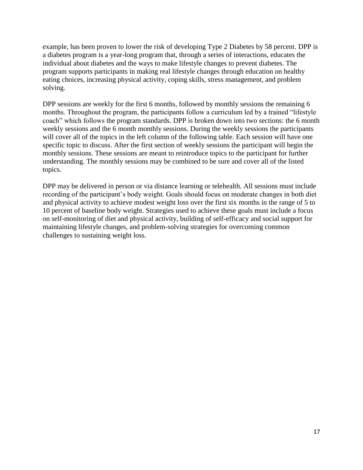example, has been proven to lower the risk of developing Type 2 Diabetes by 58 percent. DPP is a diabetes program is a year-long program that, through a series of interactions, educates the individual about diabetes and the ways to make lifestyle changes to prevent diabetes. The program supports participants in making real lifestyle changes through education on healthy eating choices, increasing physical activity, coping skills, stress management, and problem solving.

DPP sessions are weekly for the first 6 months, followed by monthly sessions the remaining 6 months. Throughout the program, the participants follow a curriculum led by a trained "lifestyle coach" which follows the program standards. DPP is broken down into two sections: the 6 month weekly sessions and the 6 month monthly sessions. During the weekly sessions the participants will cover all of the topics in the left column of the following table. Each session will have one specific topic to discuss. After the first section of weekly sessions the participant will begin the monthly sessions. These sessions are meant to reintroduce topics to the participant for further understanding. The monthly sessions may be combined to be sure and cover all of the listed topics.

DPP may be delivered in person or via distance learning or telehealth. All sessions must include recording of the participant's body weight. Goals should focus on moderate changes in both diet and physical activity to achieve modest weight loss over the first six months in the range of 5 to 10 percent of baseline body weight. Strategies used to achieve these goals must include a focus on self-monitoring of diet and physical activity, building of self-efficacy and social support for maintaining lifestyle changes, and problem-solving strategies for overcoming common challenges to sustaining weight loss.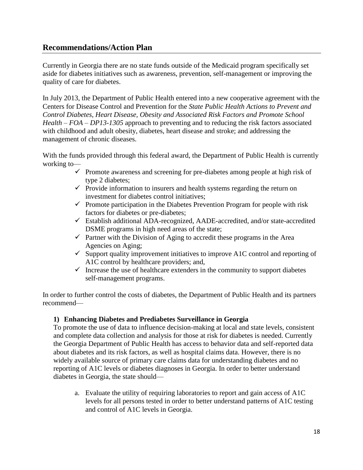## <span id="page-17-0"></span>**Recommendations/Action Plan**

Currently in Georgia there are no state funds outside of the Medicaid program specifically set aside for diabetes initiatives such as awareness, prevention, self-management or improving the quality of care for diabetes.

In July 2013, the Department of Public Health entered into a new cooperative agreement with the Centers for Disease Control and Prevention for the *State Public Health Actions to Prevent and Control Diabetes, Heart Disease, Obesity and Associated Risk Factors and Promote School Health – FOA – DP13-1305* approach to preventing and to reducing the risk factors associated with childhood and adult obesity, diabetes, heart disease and stroke; and addressing the management of chronic diseases.

With the funds provided through this federal award, the Department of Public Health is currently working to—

- $\checkmark$  Promote awareness and screening for pre-diabetes among people at high risk of type 2 diabetes;
- $\checkmark$  Provide information to insurers and health systems regarding the return on investment for diabetes control initiatives;
- $\checkmark$  Promote participation in the Diabetes Prevention Program for people with risk factors for diabetes or pre-diabetes;
- Establish additional ADA-recognized, AADE-accredited, and/or state-accredited DSME programs in high need areas of the state;
- $\checkmark$  Partner with the Division of Aging to accredit these programs in the Area Agencies on Aging;
- $\checkmark$  Support quality improvement initiatives to improve A1C control and reporting of A1C control by healthcare providers; and,
- $\checkmark$  Increase the use of healthcare extenders in the community to support diabetes self-management programs.

In order to further control the costs of diabetes, the Department of Public Health and its partners recommend—

#### **1) Enhancing Diabetes and Prediabetes Surveillance in Georgia**

To promote the use of data to influence decision-making at local and state levels, consistent and complete data collection and analysis for those at risk for diabetes is needed. Currently the Georgia Department of Public Health has access to behavior data and self-reported data about diabetes and its risk factors, as well as hospital claims data. However, there is no widely available source of primary care claims data for understanding diabetes and no reporting of A1C levels or diabetes diagnoses in Georgia. In order to better understand diabetes in Georgia, the state should—

a. Evaluate the utility of requiring laboratories to report and gain access of A1C levels for all persons tested in order to better understand patterns of A1C testing and control of A1C levels in Georgia.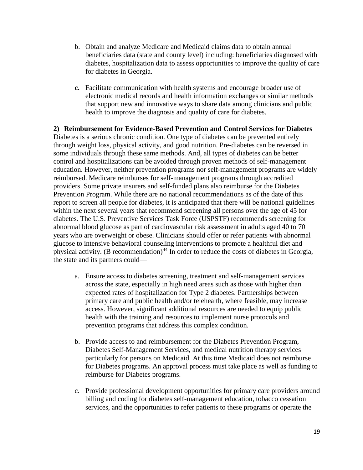- b. Obtain and analyze Medicare and Medicaid claims data to obtain annual beneficiaries data (state and county level) including: beneficiaries diagnosed with diabetes, hospitalization data to assess opportunities to improve the quality of care for diabetes in Georgia.
- **c.** Facilitate communication with health systems and encourage broader use of electronic medical records and health information exchanges or similar methods that support new and innovative ways to share data among clinicians and public health to improve the diagnosis and quality of care for diabetes.

**2) Reimbursement for Evidence-Based Prevention and Control Services for Diabetes** Diabetes is a serious chronic condition. One type of diabetes can be prevented entirely through weight loss, physical activity, and good nutrition. Pre-diabetes can be reversed in some individuals through these same methods. And, all types of diabetes can be better control and hospitalizations can be avoided through proven methods of self-management education. However, neither prevention programs nor self-management programs are widely reimbursed. Medicare reimburses for self-management programs through accredited providers. Some private insurers and self-funded plans also reimburse for the Diabetes Prevention Program. While there are no national recommendations as of the date of this report to screen all people for diabetes, it is anticipated that there will be national guidelines within the next several years that recommend screening all persons over the age of 45 for diabetes. The U.S. Preventive Services Task Force (USPSTF) recommends screening for abnormal blood glucose as part of cardiovascular risk assessment in adults aged 40 to 70 years who are overweight or obese. Clinicians should offer or refer patients with abnormal glucose to intensive behavioral counseling interventions to promote a healthful diet and physical activity. (B recommendation)<sup>44</sup> In order to reduce the costs of diabetes in Georgia, the state and its partners could—

- a. Ensure access to diabetes screening, treatment and self-management services across the state, especially in high need areas such as those with higher than expected rates of hospitalization for Type 2 diabetes. Partnerships between primary care and public health and/or telehealth, where feasible, may increase access. However, significant additional resources are needed to equip public health with the training and resources to implement nurse protocols and prevention programs that address this complex condition.
- b. Provide access to and reimbursement for the Diabetes Prevention Program, Diabetes Self-Management Services, and medical nutrition therapy services particularly for persons on Medicaid. At this time Medicaid does not reimburse for Diabetes programs. An approval process must take place as well as funding to reimburse for Diabetes programs.
- c. Provide professional development opportunities for primary care providers around billing and coding for diabetes self-management education, tobacco cessation services, and the opportunities to refer patients to these programs or operate the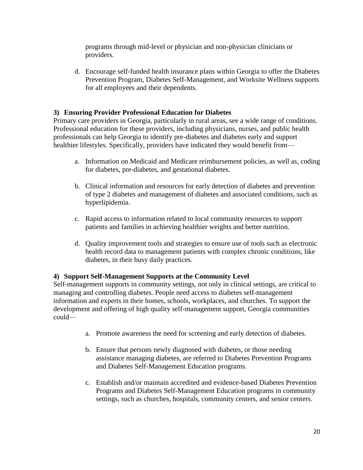programs through mid-level or physician and non-physician clinicians or providers.

d. Encourage self-funded health insurance plans within Georgia to offer the Diabetes Prevention Program, Diabetes Self-Management, and Worksite Wellness supports for all employees and their dependents.

#### **3) Ensuring Provider Professional Education for Diabetes**

Primary care providers in Georgia, particularly in rural areas, see a wide range of conditions. Professional education for these providers, including physicians, nurses, and public health professionals can help Georgia to identify pre-diabetes and diabetes early and support healthier lifestyles. Specifically, providers have indicated they would benefit from—

- a. Information on Medicaid and Medicare reimbursement policies, as well as, coding for diabetes, pre-diabetes, and gestational diabetes.
- b. Clinical information and resources for early detection of diabetes and prevention of type 2 diabetes and management of diabetes and associated conditions, such as hyperlipidemia.
- c. Rapid access to information related to local community resources to support patients and families in achieving healthier weights and better nutrition.
- d. Quality improvement tools and strategies to ensure use of tools such as electronic health record data to management patients with complex chronic conditions, like diabetes, in their busy daily practices.

#### **4) Support Self-Management Supports at the Community Level**

Self-management supports in community settings, not only in clinical settings, are critical to managing and controlling diabetes. People need access to diabetes self-management information and experts in their homes, schools, workplaces, and churches. To support the development and offering of high quality self-management support, Georgia communities could—

- a. Promote awareness the need for screening and early detection of diabetes.
- b. Ensure that persons newly diagnosed with diabetes, or those needing assistance managing diabetes, are referred to Diabetes Prevention Programs and Diabetes Self-Management Education programs.
- c. Establish and/or maintain accredited and evidence-based Diabetes Prevention Programs and Diabetes Self-Management Education programs in community settings, such as churches, hospitals, community centers, and senior centers.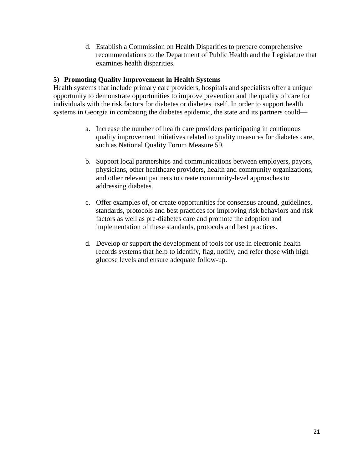d. Establish a Commission on Health Disparities to prepare comprehensive recommendations to the Department of Public Health and the Legislature that examines health disparities.

#### **5) Promoting Quality Improvement in Health Systems**

Health systems that include primary care providers, hospitals and specialists offer a unique opportunity to demonstrate opportunities to improve prevention and the quality of care for individuals with the risk factors for diabetes or diabetes itself. In order to support health systems in Georgia in combating the diabetes epidemic, the state and its partners could—

- a. Increase the number of health care providers participating in continuous quality improvement initiatives related to quality measures for diabetes care, such as National Quality Forum Measure 59.
- b. Support local partnerships and communications between employers, payors, physicians, other healthcare providers, health and community organizations, and other relevant partners to create community-level approaches to addressing diabetes.
- c. Offer examples of, or create opportunities for consensus around, guidelines, standards, protocols and best practices for improving risk behaviors and risk factors as well as pre-diabetes care and promote the adoption and implementation of these standards, protocols and best practices.
- d. Develop or support the development of tools for use in electronic health records systems that help to identify, flag, notify, and refer those with high glucose levels and ensure adequate follow-up.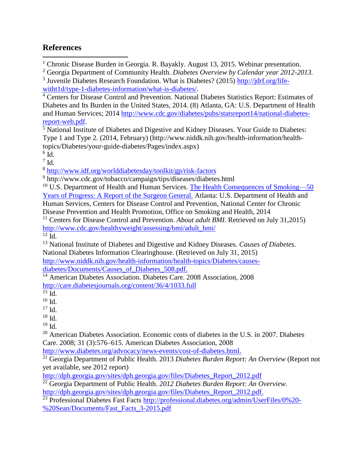# <span id="page-21-0"></span>**References**

 $\overline{\phantom{a}}$ <sup>1</sup> Chronic Disease Burden in Georgia. R. Bayakly. August 13, 2015. Webinar presentation.

<sup>2</sup> Georgia Department of Community Health. *Diabetes Overview by Calendar year 2012-2013.*

<sup>3</sup> Juvenile Diabetes Research Foundation. What is Diabetes? (2015) [http://jdrf.org/life](http://jdrf.org/life-witht1d/type-1-diabetes-information/what-is-diabetes/)[witht1d/type-1-diabetes-information/what-is-diabetes/.](http://jdrf.org/life-witht1d/type-1-diabetes-information/what-is-diabetes/)

<sup>4</sup> Centers for Disease Control and Prevention. National Diabetes Statistics Report: Estimates of Diabetes and Its Burden in the United States, 2014. (8) Atlanta, GA: U.S. Department of Health and Human Services; 2014 [http://www.cdc.gov/diabetes/pubs/statsreport14/national-diabetes](http://www.cdc.gov/diabetes/pubs/statsreport14/national-diabetes-report-web.pdf)[report-web.pdf.](http://www.cdc.gov/diabetes/pubs/statsreport14/national-diabetes-report-web.pdf)

<sup>5</sup> National Institute of Diabetes and Digestive and Kidney Diseases. Your Guide to Diabetes: Type 1 and Type 2. (2014, February) [\(http://www.niddk.nih.gov/health-information/health](http://www.niddk.nih.gov/health-information/health-topics/Diabetes/your-guide-diabetes/Pages/index.aspx)[topics/Diabetes/your-guide-diabetes/Pages/index.aspx\)](http://www.niddk.nih.gov/health-information/health-topics/Diabetes/your-guide-diabetes/Pages/index.aspx)

 $^6$  Id.

 $7$  Id.

8 <http://www.idf.org/worlddiabetesday/toolkit/gp/risk-factors>

<sup>9</sup> http://www.cdc.gov/tobacco/campaign/tips/diseases/diabetes.html

 $10$  U.S. Department of Health and Human Services. The Health Consequences of Smoking—50 [Years of Progress: A Report of the Surgeon General.](http://www.cdc.gov/tobacco/data_statistics/sgr/50th-anniversary/index.htm) Atlanta: U.S. Department of Health and Human Services, Centers for Disease Control and Prevention, National Center for Chronic Disease Prevention and Health Promotion, Office on Smoking and Health, 2014

<sup>11</sup> Centers for Disease Control and Prevention. *About adult BMI.* Retrieved on July 31,2015) [http://www.cdc.gov/healthyweight/assessing/bmi/adult\\_bmi/](http://www.cdc.gov/healthyweight/assessing/bmi/adult_bmi/)

 $12 \overline{Id}$ .

<sup>13</sup> National Institute of Diabetes and Digestive and Kidney Diseases. *Causes of Diabetes.*  National Diabetes Information Clearinghouse. (Retrieved on July 31, 2015) [http://www.niddk.nih.gov/health-information/health-topics/Diabetes/causes-](http://www.niddk.nih.gov/health-information/health-topics/Diabetes/causes-diabetes/Documents/Causes_of_Diabetes_508.pdf)

diabetes/Documents/Causes of Diabetes 508.pdf.

<sup>14</sup> American Diabetes Association. Diabetes Care. 2008 Association, 2008 <http://care.diabetesjournals.org/content/36/4/1033.full>

 $19$  Id.

<sup>20</sup> American Diabetes Association. Economic costs of diabetes in the U.S. in 2007. Diabetes Care. 2008; 31 (3):576–615. American Diabetes Association, 2008

[http://www.diabetes.org/advocacy/news-events/cost-of-diabetes.html.](http://www.diabetes.org/advocacy/news-events/cost-of-diabetes.html)

<sup>21</sup> Georgia Department of Public Health. 2013 *Diabetes Burden Report: An Overview* (Report not yet available, see 2012 report)

[http://dph.georgia.gov/sites/dph.georgia.gov/files/Diabetes\\_Report\\_2012.pdf](http://dph.georgia.gov/sites/dph.georgia.gov/files/Diabetes_Report_2012.pdf)

<sup>22</sup> Georgia Department of Public Health. *2012 Diabetes Burden Report: An Overview.*

[http://dph.georgia.gov/sites/dph.georgia.gov/files/Diabetes\\_Report\\_2012.pdf.](http://dph.georgia.gov/sites/dph.georgia.gov/files/Diabetes_Report_2012.pdf)

<sup>23</sup> Professional Diabetes Fast Facts [http://professional.diabetes.org/admin/UserFiles/0%20-](http://professional.diabetes.org/admin/UserFiles/0%20-%20Sean/Documents/Fast_Facts_3-2015.pdf) [%20Sean/Documents/Fast\\_Facts\\_3-2015.pdf](http://professional.diabetes.org/admin/UserFiles/0%20-%20Sean/Documents/Fast_Facts_3-2015.pdf)

 $15$  Id.

<sup>16</sup> Id.

<sup>17</sup> Id.

 $18$  Id.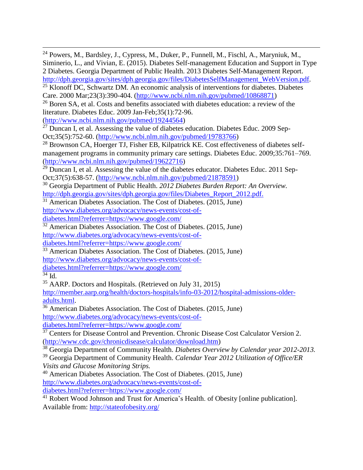$\overline{\phantom{a}}$  $^{24}$  Powers, M., Bardsley, J., Cypress, M., Duker, P., Funnell, M., Fischl, A., Maryniuk, M., Siminerio, L., and Vivian, E. (2015). Diabetes Self-management Education and Support in Type 2 Diabetes. Georgia Department of Public Health. 2013 Diabetes Self-Management Report. [http://dph.georgia.gov/sites/dph.georgia.gov/files/DiabetesSelfManagement\\_WebVersion.pdf.](http://dph.georgia.gov/sites/dph.georgia.gov/files/DiabetesSelfManagement_WebVersion.pdf) <sup>25</sup> Klonoff DC, Schwartz DM. An economic analysis of interventions for diabetes. Diabetes Care. 2000 Mar;23(3):390-404. [\(http://www.ncbi.nlm.nih.gov/pubmed/10868871\)](http://www.ncbi.nlm.nih.gov/pubmed/10868871) <sup>26</sup> Boren SA, et al. Costs and benefits associated with diabetes education: a review of the literature. Diabetes Educ. 2009 Jan-Feb;35(1):72-96. [\(http://www.ncbi.nlm.nih.gov/pubmed/19244564\)](http://www.ncbi.nlm.nih.gov/pubmed/19244564)  $27$  Duncan I, et al. Assessing the value of diabetes education. Diabetes Educ. 2009 Sep-Oct;35(5):752-60. [\(http://www.ncbi.nlm.nih.gov/pubmed/19783766\)](http://www.ncbi.nlm.nih.gov/pubmed/19783766) <sup>28</sup> Brownson CA, Hoerger TJ, Fisher EB, Kilpatrick KE. Cost effectiveness of diabetes selfmanagement programs in community primary care settings. Diabetes Educ. 2009;35:761–769. [\(http://www.ncbi.nlm.nih.gov/pubmed/19622716\)](http://www.ncbi.nlm.nih.gov/pubmed/19622716)  $29$  Duncan I, et al. Assessing the value of the diabetes educator. Diabetes Educ. 2011 Sep-Oct;37(5):638-57. [\(http://www.ncbi.nlm.nih.gov/pubmed/21878591\)](http://www.ncbi.nlm.nih.gov/pubmed/21878591) <sup>30</sup> Georgia Department of Public Health. *2012 Diabetes Burden Report: An Overview.* [http://dph.georgia.gov/sites/dph.georgia.gov/files/Diabetes\\_Report\\_2012.pdf.](http://dph.georgia.gov/sites/dph.georgia.gov/files/Diabetes_Report_2012.pdf) <sup>31</sup> American Diabetes Association. The Cost of Diabetes. (2015, June) [http://www.diabetes.org/advocacy/news-events/cost-of](http://www.diabetes.org/advocacy/news-events/cost-of-diabetes.html?referrer=https://www.google.com/)[diabetes.html?referrer=https://www.google.com/](http://www.diabetes.org/advocacy/news-events/cost-of-diabetes.html?referrer=https://www.google.com/)  $32$  American Diabetes Association. The Cost of Diabetes. (2015, June) [http://www.diabetes.org/advocacy/news-events/cost-of](http://www.diabetes.org/advocacy/news-events/cost-of-diabetes.html?referrer=https://www.google.com/)[diabetes.html?referrer=https://www.google.com/](http://www.diabetes.org/advocacy/news-events/cost-of-diabetes.html?referrer=https://www.google.com/)  $33$  American Diabetes Association. The Cost of Diabetes. (2015, June) [http://www.diabetes.org/advocacy/news-events/cost-of](http://www.diabetes.org/advocacy/news-events/cost-of-diabetes.html?referrer=https://www.google.com/)[diabetes.html?referrer=https://www.google.com/](http://www.diabetes.org/advocacy/news-events/cost-of-diabetes.html?referrer=https://www.google.com/)  $34$  Id. <sup>35</sup> AARP. Doctors and Hospitals. (Retrieved on July 31, 2015) [http://member.aarp.org/health/doctors-hospitals/info-03-2012/hospital-admissions-older](http://member.aarp.org/health/doctors-hospitals/info-03-2012/hospital-admissions-older-adults.html)[adults.html.](http://member.aarp.org/health/doctors-hospitals/info-03-2012/hospital-admissions-older-adults.html)  $36$  American Diabetes Association. The Cost of Diabetes. (2015, June) [http://www.diabetes.org/advocacy/news-events/cost-of](http://www.diabetes.org/advocacy/news-events/cost-of-diabetes.html?referrer=https://www.google.com/)[diabetes.html?referrer=https://www.google.com/](http://www.diabetes.org/advocacy/news-events/cost-of-diabetes.html?referrer=https://www.google.com/) <sup>37</sup> Centers for Disease Control and Prevention. Chronic Disease Cost Calculator Version 2. [\(http://www.cdc.gov/chronicdisease/calculator/download.htm\)](http://www.cdc.gov/chronicdisease/calculator/download.htm) <sup>38</sup> Georgia Department of Community Health. *Diabetes Overview by Calendar year 2012-2013.* <sup>39</sup> Georgia Department of Community Health. *Calendar Year 2012 Utilization of Office/ER Visits and Glucose Monitoring Strips.* <sup>40</sup> American Diabetes Association. The Cost of Diabetes. (2015, June) [http://www.diabetes.org/advocacy/news-events/cost-of-](http://www.diabetes.org/advocacy/news-events/cost-of-diabetes.html?referrer=https://www.google.com/)

[diabetes.html?referrer=https://www.google.com/](http://www.diabetes.org/advocacy/news-events/cost-of-diabetes.html?referrer=https://www.google.com/)

<sup>41</sup> Robert Wood Johnson and Trust for America's Health. of Obesity [online publication]. Available from:<http://stateofobesity.org/>